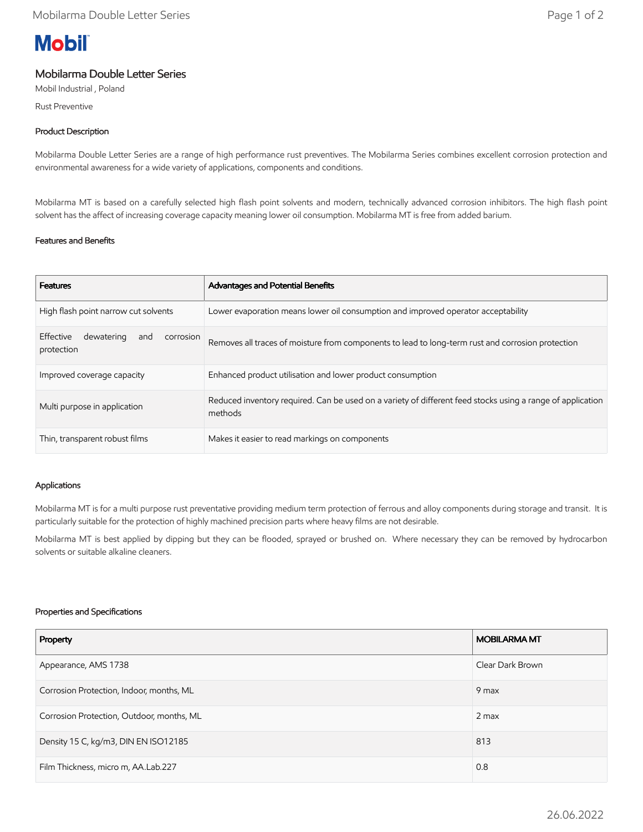# **Mobil**

## Mobilarma Double Letter Series

Mobil Industrial , Poland

Rust Preventive

### Product Description

Mobilarma Double Letter Series are a range of high performance rust preventives. The Mobilarma Series combines excellent corrosion protection and environmental awareness for a wide variety of applications, components and conditions.

Mobilarma MT is based on a carefully selected high flash point solvents and modern, technically advanced corrosion inhibitors. The high flash point solvent has the affect of increasing coverage capacity meaning lower oil consumption. Mobilarma MT is free from added barium.

### Features and Benefits

| <b>Features</b>                                           | Advantages and Potential Benefits                                                                                     |
|-----------------------------------------------------------|-----------------------------------------------------------------------------------------------------------------------|
| High flash point narrow cut solvents                      | Lower evaporation means lower oil consumption and improved operator acceptability                                     |
| Effective<br>dewatering<br>corrosion<br>and<br>protection | Removes all traces of moisture from components to lead to long-term rust and corrosion protection                     |
| Improved coverage capacity                                | Enhanced product utilisation and lower product consumption                                                            |
| Multi purpose in application                              | Reduced inventory required. Can be used on a variety of different feed stocks using a range of application<br>methods |
| Thin, transparent robust films                            | Makes it easier to read markings on components                                                                        |

#### Applications

Mobilarma MT is for a multi purpose rust preventative providing medium term protection of ferrous and alloy components during storage and transit. It is particularly suitable for the protection of highly machined precision parts where heavy films are not desirable.

Mobilarma MT is best applied by dipping but they can be flooded, sprayed or brushed on. Where necessary they can be removed by hydrocarbon solvents or suitable alkaline cleaners.

#### Properties and Specifications

| Property                                  | <b>MOBILARMA MT</b> |
|-------------------------------------------|---------------------|
| Appearance, AMS 1738                      | Clear Dark Brown    |
| Corrosion Protection, Indoor, months, ML  | 9 max               |
| Corrosion Protection, Outdoor, months, ML | $2$ max             |
| Density 15 C, kg/m3, DIN EN ISO12185      | 813                 |
| Film Thickness, micro m, AA.Lab.227       | 0.8                 |